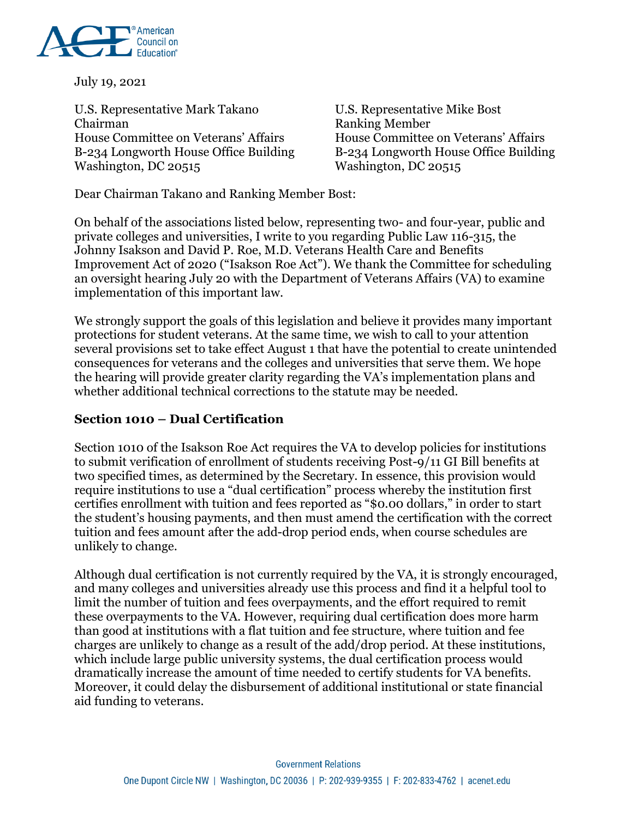

July 19, 2021

U.S. Representative Mark Takano U.S. Representative Mike Bost Chairman Ranking Member House Committee on Veterans' Affairs House Committee on Veterans' Affairs B-234 Longworth House Office Building B-234 Longworth House Office Building Washington, DC 20515

Dear Chairman Takano and Ranking Member Bost:

On behalf of the associations listed below, representing two- and four-year, public and private colleges and universities, I write to you regarding Public Law 116-315, the Johnny Isakson and David P. Roe, M.D. Veterans Health Care and Benefits Improvement Act of 2020 ("Isakson Roe Act"). We thank the Committee for scheduling an oversight hearing July 20 with the Department of Veterans Affairs (VA) to examine implementation of this important law.

We strongly support the goals of this legislation and believe it provides many important protections for student veterans. At the same time, we wish to call to your attention several provisions set to take effect August 1 that have the potential to create unintended consequences for veterans and the colleges and universities that serve them. We hope the hearing will provide greater clarity regarding the VA's implementation plans and whether additional technical corrections to the statute may be needed.

#### **Section 1010 – Dual Certification**

Section 1010 of the Isakson Roe Act requires the VA to develop policies for institutions to submit verification of enrollment of students receiving Post-9/11 GI Bill benefits at two specified times, as determined by the Secretary. In essence, this provision would require institutions to use a "dual certification" process whereby the institution first certifies enrollment with tuition and fees reported as "\$0.00 dollars," in order to start the student's housing payments, and then must amend the certification with the correct tuition and fees amount after the add-drop period ends, when course schedules are unlikely to change.

Although dual certification is not currently required by the VA, it is strongly encouraged, and many colleges and universities already use this process and find it a helpful tool to limit the number of tuition and fees overpayments, and the effort required to remit these overpayments to the VA. However, requiring dual certification does more harm than good at institutions with a flat tuition and fee structure, where tuition and fee charges are unlikely to change as a result of the add/drop period. At these institutions, which include large public university systems, the dual certification process would dramatically increase the amount of time needed to certify students for VA benefits. Moreover, it could delay the disbursement of additional institutional or state financial aid funding to veterans.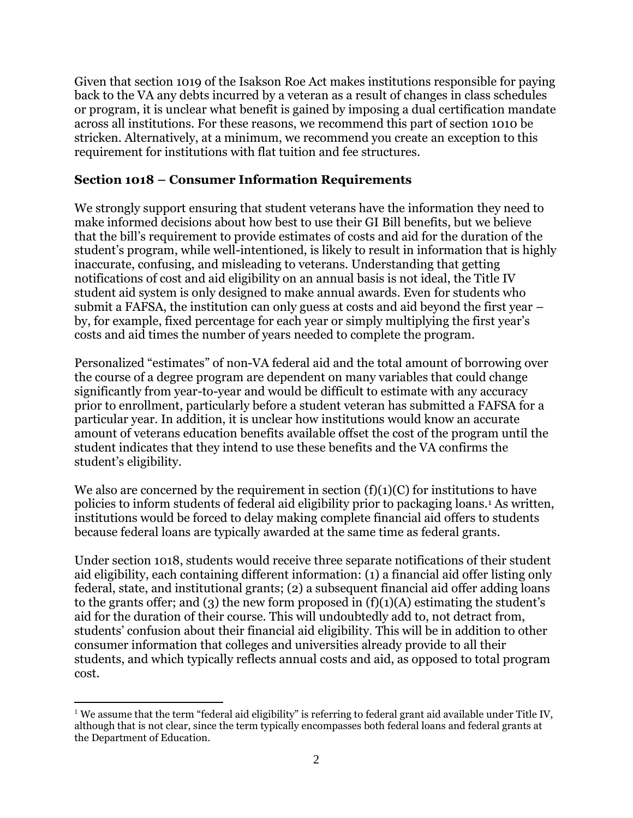Given that section 1019 of the Isakson Roe Act makes institutions responsible for paying back to the VA any debts incurred by a veteran as a result of changes in class schedules or program, it is unclear what benefit is gained by imposing a dual certification mandate across all institutions. For these reasons, we recommend this part of section 1010 be stricken. Alternatively, at a minimum, we recommend you create an exception to this requirement for institutions with flat tuition and fee structures.

#### **Section 1018 – Consumer Information Requirements**

We strongly support ensuring that student veterans have the information they need to make informed decisions about how best to use their GI Bill benefits, but we believe that the bill's requirement to provide estimates of costs and aid for the duration of the student's program, while well-intentioned, is likely to result in information that is highly inaccurate, confusing, and misleading to veterans. Understanding that getting notifications of cost and aid eligibility on an annual basis is not ideal, the Title IV student aid system is only designed to make annual awards. Even for students who submit a FAFSA, the institution can only guess at costs and aid beyond the first year – by, for example, fixed percentage for each year or simply multiplying the first year's costs and aid times the number of years needed to complete the program.

Personalized "estimates" of non-VA federal aid and the total amount of borrowing over the course of a degree program are dependent on many variables that could change significantly from year-to-year and would be difficult to estimate with any accuracy prior to enrollment, particularly before a student veteran has submitted a FAFSA for a particular year. In addition, it is unclear how institutions would know an accurate amount of veterans education benefits available offset the cost of the program until the student indicates that they intend to use these benefits and the VA confirms the student's eligibility.

We also are concerned by the requirement in section  $(f)(1)(C)$  for institutions to have policies to inform students of federal aid eligibility prior to packaging loans.<sup>1</sup> As written, institutions would be forced to delay making complete financial aid offers to students because federal loans are typically awarded at the same time as federal grants.

Under section 1018, students would receive three separate notifications of their student aid eligibility, each containing different information: (1) a financial aid offer listing only federal, state, and institutional grants; (2) a subsequent financial aid offer adding loans to the grants offer; and (3) the new form proposed in  $(f)(1)(A)$  estimating the student's aid for the duration of their course. This will undoubtedly add to, not detract from, students' confusion about their financial aid eligibility. This will be in addition to other consumer information that colleges and universities already provide to all their students, and which typically reflects annual costs and aid, as opposed to total program cost.

 $\overline{a}$ 

<sup>&</sup>lt;sup>1</sup> We assume that the term "federal aid eligibility" is referring to federal grant aid available under Title IV, although that is not clear, since the term typically encompasses both federal loans and federal grants at the Department of Education.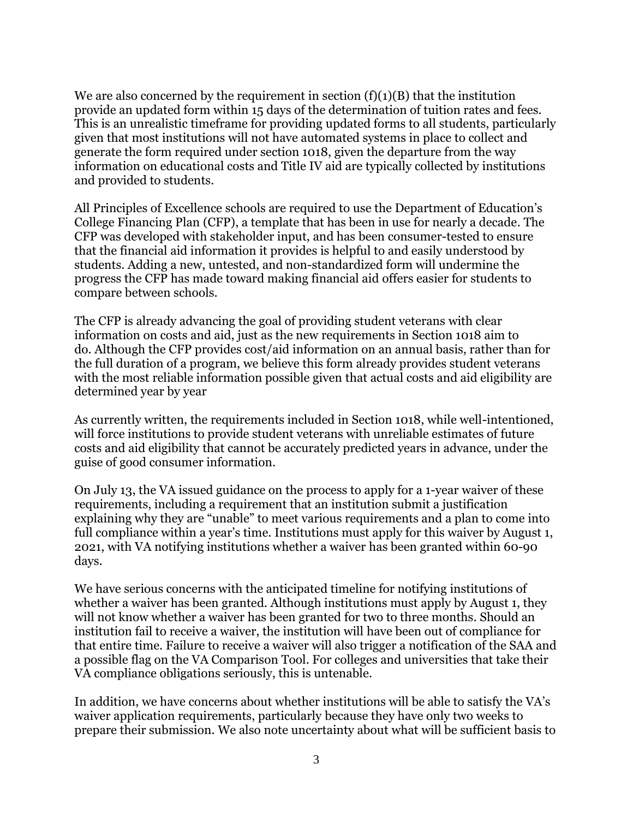We are also concerned by the requirement in section  $(f)(1)(B)$  that the institution provide an updated form within 15 days of the determination of tuition rates and fees. This is an unrealistic timeframe for providing updated forms to all students, particularly given that most institutions will not have automated systems in place to collect and generate the form required under section 1018, given the departure from the way information on educational costs and Title IV aid are typically collected by institutions and provided to students.

All Principles of Excellence schools are required to use the Department of Education's College Financing Plan (CFP), a template that has been in use for nearly a decade. The CFP was developed with stakeholder input, and has been consumer-tested to ensure that the financial aid information it provides is helpful to and easily understood by students. Adding a new, untested, and non-standardized form will undermine the progress the CFP has made toward making financial aid offers easier for students to compare between schools.

The CFP is already advancing the goal of providing student veterans with clear information on costs and aid, just as the new requirements in Section 1018 aim to do. Although the CFP provides cost/aid information on an annual basis, rather than for the full duration of a program, we believe this form already provides student veterans with the most reliable information possible given that actual costs and aid eligibility are determined year by year

As currently written, the requirements included in Section 1018, while well-intentioned, will force institutions to provide student veterans with unreliable estimates of future costs and aid eligibility that cannot be accurately predicted years in advance, under the guise of good consumer information.

On July 13, the VA issued guidance on the process to apply for a 1-year waiver of these requirements, including a requirement that an institution submit a justification explaining why they are "unable" to meet various requirements and a plan to come into full compliance within a year's time. Institutions must apply for this waiver by August 1, 2021, with VA notifying institutions whether a waiver has been granted within 60-90 days.

We have serious concerns with the anticipated timeline for notifying institutions of whether a waiver has been granted. Although institutions must apply by August 1, they will not know whether a waiver has been granted for two to three months. Should an institution fail to receive a waiver, the institution will have been out of compliance for that entire time. Failure to receive a waiver will also trigger a notification of the SAA and a possible flag on the VA Comparison Tool. For colleges and universities that take their VA compliance obligations seriously, this is untenable.

In addition, we have concerns about whether institutions will be able to satisfy the VA's waiver application requirements, particularly because they have only two weeks to prepare their submission. We also note uncertainty about what will be sufficient basis to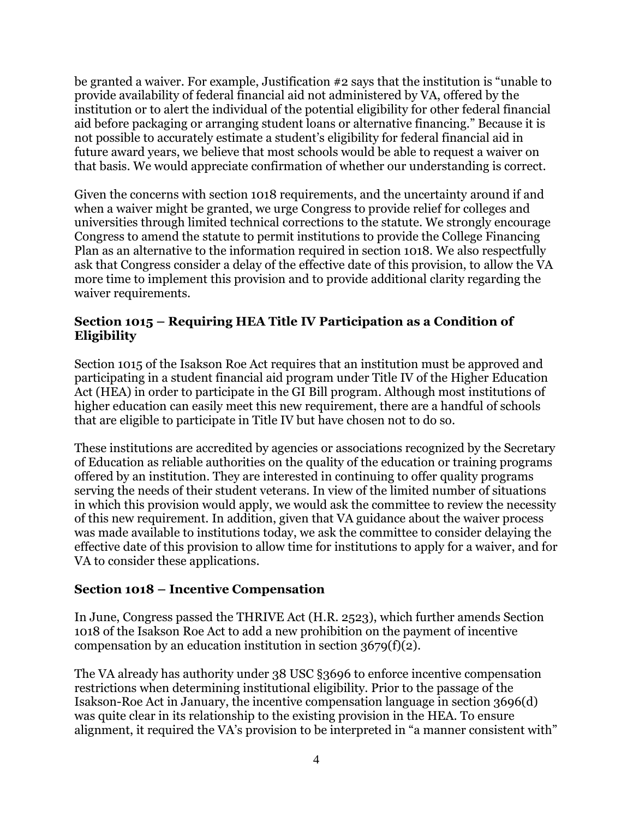be granted a waiver. For example, Justification #2 says that the institution is "unable to provide availability of federal financial aid not administered by VA, offered by the institution or to alert the individual of the potential eligibility for other federal financial aid before packaging or arranging student loans or alternative financing." Because it is not possible to accurately estimate a student's eligibility for federal financial aid in future award years, we believe that most schools would be able to request a waiver on that basis. We would appreciate confirmation of whether our understanding is correct.

Given the concerns with section 1018 requirements, and the uncertainty around if and when a waiver might be granted, we urge Congress to provide relief for colleges and universities through limited technical corrections to the statute. We strongly encourage Congress to amend the statute to permit institutions to provide the College Financing Plan as an alternative to the information required in section 1018. We also respectfully ask that Congress consider a delay of the effective date of this provision, to allow the VA more time to implement this provision and to provide additional clarity regarding the waiver requirements.

# **Section 1015 – Requiring HEA Title IV Participation as a Condition of Eligibility**

Section 1015 of the Isakson Roe Act requires that an institution must be approved and participating in a student financial aid program under Title IV of the Higher Education Act (HEA) in order to participate in the GI Bill program. Although most institutions of higher education can easily meet this new requirement, there are a handful of schools that are eligible to participate in Title IV but have chosen not to do so.

These institutions are accredited by agencies or associations recognized by the Secretary of Education as reliable authorities on the quality of the education or training programs offered by an institution. They are interested in continuing to offer quality programs serving the needs of their student veterans. In view of the limited number of situations in which this provision would apply, we would ask the committee to review the necessity of this new requirement. In addition, given that VA guidance about the waiver process was made available to institutions today, we ask the committee to consider delaying the effective date of this provision to allow time for institutions to apply for a waiver, and for VA to consider these applications.

# **Section 1018 – Incentive Compensation**

In June, Congress passed the THRIVE Act (H.R. 2523), which further amends Section 1018 of the Isakson Roe Act to add a new prohibition on the payment of incentive compensation by an education institution in section  $3679(f)(2)$ .

The VA already has authority under 38 USC §3696 to enforce incentive compensation restrictions when determining institutional eligibility. Prior to the passage of the Isakson-Roe Act in January, the incentive compensation language in section 3696(d) was quite clear in its relationship to the existing provision in the HEA. To ensure alignment, it required the VA's provision to be interpreted in "a manner consistent with"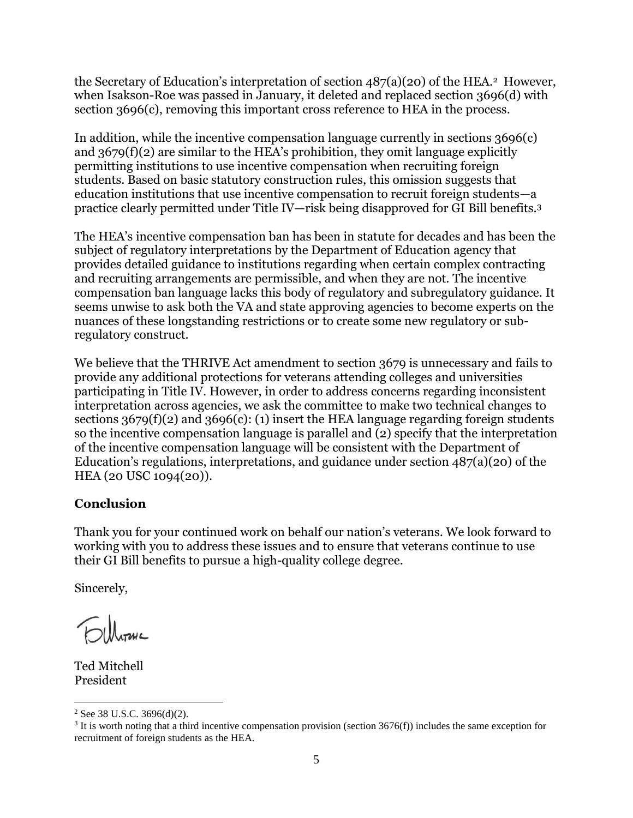the Secretary of Education's interpretation of section 487(a)(20) of the HEA. <sup>2</sup> However, when Isakson-Roe was passed in January, it deleted and replaced section 3696(d) with section 3696(c), removing this important cross reference to HEA in the process.

In addition, while the incentive compensation language currently in sections 3696(c) and 3679(f)(2) are similar to the HEA's prohibition, they omit language explicitly permitting institutions to use incentive compensation when recruiting foreign students. Based on basic statutory construction rules, this omission suggests that education institutions that use incentive compensation to recruit foreign students—a practice clearly permitted under Title IV—risk being disapproved for GI Bill benefits.<sup>3</sup>

The HEA's incentive compensation ban has been in statute for decades and has been the subject of regulatory interpretations by the Department of Education agency that provides detailed guidance to institutions regarding when certain complex contracting and recruiting arrangements are permissible, and when they are not. The incentive compensation ban language lacks this body of regulatory and subregulatory guidance. It seems unwise to ask both the VA and state approving agencies to become experts on the nuances of these longstanding restrictions or to create some new regulatory or subregulatory construct.

We believe that the THRIVE Act amendment to section 3679 is unnecessary and fails to provide any additional protections for veterans attending colleges and universities participating in Title IV. However, in order to address concerns regarding inconsistent interpretation across agencies, we ask the committee to make two technical changes to sections  $3679(f)(2)$  and  $3696(c)$ : (1) insert the HEA language regarding foreign students so the incentive compensation language is parallel and (2) specify that the interpretation of the incentive compensation language will be consistent with the Department of Education's regulations, interpretations, and guidance under section 487(a)(20) of the HEA (20 USC 1094(20)).

# **Conclusion**

Thank you for your continued work on behalf our nation's veterans. We look forward to working with you to address these issues and to ensure that veterans continue to use their GI Bill benefits to pursue a high-quality college degree.

Sincerely,

**Elleranc** 

Ted Mitchell President

 $\overline{a}$ 

 $2$  See 38 U.S.C. 3696(d)(2).

<sup>&</sup>lt;sup>3</sup> It is worth noting that a third incentive compensation provision (section 3676(f)) includes the same exception for recruitment of foreign students as the HEA.